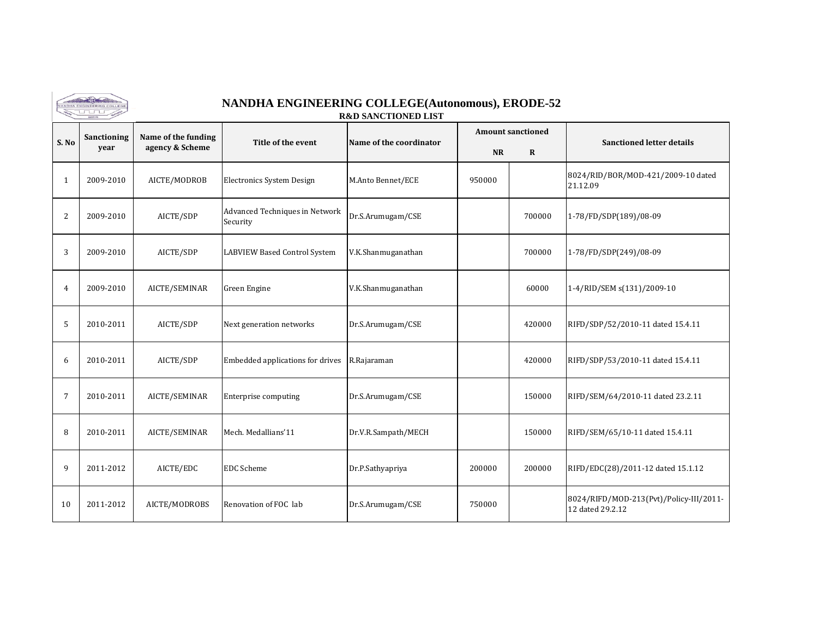

## **NANDHA ENGINEERING COLLEGE(Autonomous), ERODE-52**

**R&D SANCTIONED LIST**

|              | Sanctioning | Name of the funding | Title of the event                         | Name of the coordinator |           | <b>Amount sanctioned</b> |                                                             |
|--------------|-------------|---------------------|--------------------------------------------|-------------------------|-----------|--------------------------|-------------------------------------------------------------|
| S.No         | year        | agency & Scheme     |                                            |                         | <b>NR</b> | $\mathbf{R}$             | <b>Sanctioned letter details</b>                            |
| $\mathbf{1}$ | 2009-2010   | AICTE/MODROB        | Electronics System Design                  | M.Anto Bennet/ECE       | 950000    |                          | 8024/RID/BOR/MOD-421/2009-10 dated<br>21.12.09              |
| 2            | 2009-2010   | AICTE/SDP           | Advanced Techniques in Network<br>Security | Dr.S.Arumugam/CSE       |           | 700000                   | 1-78/FD/SDP(189)/08-09                                      |
| 3            | 2009-2010   | AICTE/SDP           | <b>LABVIEW Based Control System</b>        | V.K.Shanmuganathan      |           | 700000                   | 1-78/FD/SDP(249)/08-09                                      |
| 4            | 2009-2010   | AICTE/SEMINAR       | Green Engine                               | V.K.Shanmuganathan      |           | 60000                    | 1-4/RID/SEM s(131)/2009-10                                  |
| 5            | 2010-2011   | AICTE/SDP           | Next generation networks                   | Dr.S.Arumugam/CSE       |           | 420000                   | RIFD/SDP/52/2010-11 dated 15.4.11                           |
| 6            | 2010-2011   | AICTE/SDP           | Embedded applications for drives           | R.Rajaraman             |           | 420000                   | RIFD/SDP/53/2010-11 dated 15.4.11                           |
| 7            | 2010-2011   | AICTE/SEMINAR       | Enterprise computing                       | Dr.S.Arumugam/CSE       |           | 150000                   | RIFD/SEM/64/2010-11 dated 23.2.11                           |
| 8            | 2010-2011   | AICTE/SEMINAR       | Mech. Medallians'11                        | Dr.V.R.Sampath/MECH     |           | 150000                   | RIFD/SEM/65/10-11 dated 15.4.11                             |
| 9            | 2011-2012   | AICTE/EDC           | <b>EDC</b> Scheme                          | Dr.P.Sathyapriya        | 200000    | 200000                   | RIFD/EDC(28)/2011-12 dated 15.1.12                          |
| 10           | 2011-2012   | AICTE/MODROBS       | Renovation of FOC lab                      | Dr.S.Arumugam/CSE       | 750000    |                          | 8024/RIFD/MOD-213(Pvt)/Policy-III/2011-<br>12 dated 29.2.12 |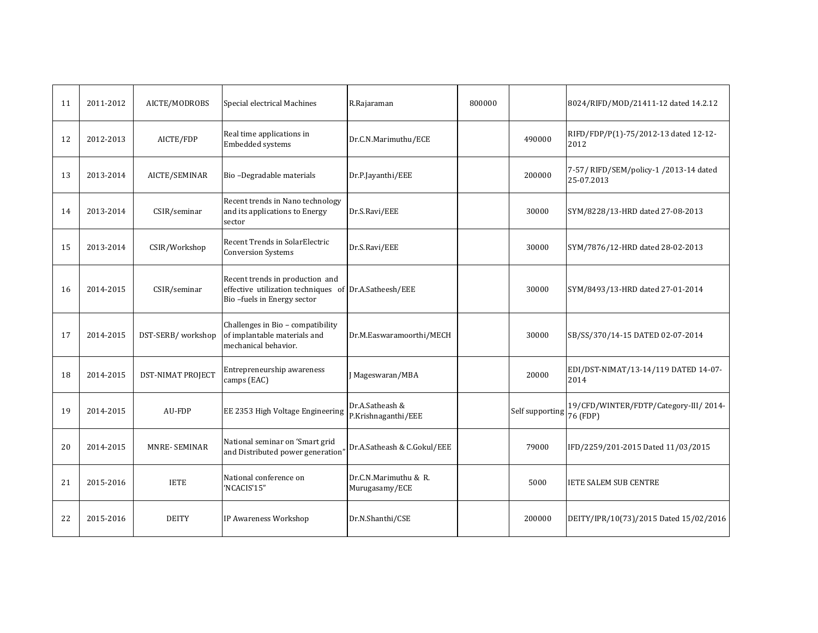| 11 | 2011-2012 | AICTE/MODROBS            | Special electrical Machines                                                                                            | R.Rajaraman                             | 800000 |                 | 8024/RIFD/MOD/21411-12 dated 14.2.12                 |
|----|-----------|--------------------------|------------------------------------------------------------------------------------------------------------------------|-----------------------------------------|--------|-----------------|------------------------------------------------------|
| 12 | 2012-2013 | AICTE/FDP                | Real time applications in<br>Embedded systems                                                                          | Dr.C.N.Marimuthu/ECE                    |        | 490000          | RIFD/FDP/P(1)-75/2012-13 dated 12-12-<br>2012        |
| 13 | 2013-2014 | AICTE/SEMINAR            | Bio-Degradable materials                                                                                               | Dr.P.Jayanthi/EEE                       |        | 200000          | 7-57/ RIFD/SEM/policy-1 /2013-14 dated<br>25-07.2013 |
| 14 | 2013-2014 | CSIR/seminar             | Recent trends in Nano technology<br>and its applications to Energy<br>sector                                           | Dr.S.Ravi/EEE                           |        | 30000           | SYM/8228/13-HRD dated 27-08-2013                     |
| 15 | 2013-2014 | CSIR/Workshop            | Recent Trends in SolarElectric<br><b>Conversion Systems</b>                                                            | Dr.S.Ravi/EEE                           |        | 30000           | SYM/7876/12-HRD dated 28-02-2013                     |
| 16 | 2014-2015 | CSIR/seminar             | Recent trends in production and<br>effective utilization techniques of Dr.A.Satheesh/EEE<br>Bio-fuels in Energy sector |                                         |        | 30000           | SYM/8493/13-HRD dated 27-01-2014                     |
| 17 | 2014-2015 | DST-SERB/workshop        | Challenges in Bio - compatibility<br>of implantable materials and<br>mechanical behavior.                              | Dr.M.Easwaramoorthi/MECH                |        | 30000           | SB/SS/370/14-15 DATED 02-07-2014                     |
| 18 | 2014-2015 | <b>DST-NIMAT PROJECT</b> | Entrepreneurship awareness<br>camps (EAC)                                                                              | J Mageswaran/MBA                        |        | 20000           | EDI/DST-NIMAT/13-14/119 DATED 14-07-<br>2014         |
| 19 | 2014-2015 | <b>AU-FDP</b>            | EE 2353 High Voltage Engineering                                                                                       | Dr.A.Satheash &<br>P.Krishnaganthi/EEE  |        | Self supporting | 19/CFD/WINTER/FDTP/Category-III/ 2014-<br>76 (FDP)   |
| 20 | 2014-2015 | <b>MNRE-SEMINAR</b>      | National seminar on 'Smart grid<br>and Distributed power generation"                                                   | Dr.A.Satheash & C.Gokul/EEE             |        | 79000           | IFD/2259/201-2015 Dated 11/03/2015                   |
| 21 | 2015-2016 | <b>IETE</b>              | National conference on<br>'NCACIS'15"                                                                                  | Dr.C.N.Marimuthu & R.<br>Murugasamy/ECE |        | 5000            | <b>IETE SALEM SUB CENTRE</b>                         |
| 22 | 2015-2016 | <b>DEITY</b>             | IP Awareness Workshop                                                                                                  | Dr.N.Shanthi/CSE                        |        | 200000          | DEITY/IPR/10(73)/2015 Dated 15/02/2016               |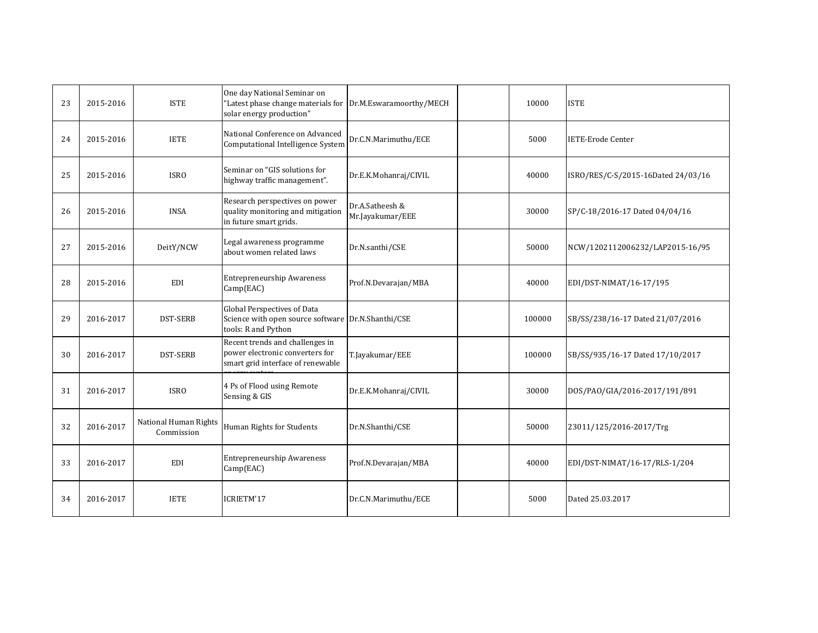| 23 | 2015-2016 | <b>ISTE</b>                         | One day National Seminar on<br>"Latest phase change materials for<br>solar energy production"            | Dr.M.Eswaramoorthy/MECH             | 10000  | <b>ISTE</b>                        |
|----|-----------|-------------------------------------|----------------------------------------------------------------------------------------------------------|-------------------------------------|--------|------------------------------------|
| 24 | 2015-2016 | <b>IETE</b>                         | National Conference on Advanced<br>Computational Intelligence System                                     | Dr.C.N.Marimuthu/ECE                | 5000   | <b>IETE-Erode Center</b>           |
| 25 | 2015-2016 | <b>ISRO</b>                         | Seminar on "GIS solutions for<br>highway traffic management".                                            | Dr.E.K.Mohanraj/CIVIL               | 40000  | ISRO/RES/C-S/2015-16Dated 24/03/16 |
| 26 | 2015-2016 | <b>INSA</b>                         | Research perspectives on power<br>quality monitoring and mitigation<br>in future smart grids.            | Dr.A.Satheesh &<br>Mr.Jayakumar/EEE | 30000  | SP/C-18/2016-17 Dated 04/04/16     |
| 27 | 2015-2016 | DeitY/NCW                           | Legal awareness programme<br>about women related laws                                                    | Dr.N.santhi/CSE                     | 50000  | NCW/1202112006232/LAP2015-16/95    |
| 28 | 2015-2016 | <b>EDI</b>                          | <b>Entrepreneurship Awareness</b><br>Camp(EAC)                                                           | Prof.N.Devarajan/MBA                | 40000  | EDI/DST-NIMAT/16-17/195            |
| 29 | 2016-2017 | <b>DST-SERB</b>                     | Global Perspectives of Data<br>Science with open source software Dr.N.Shanthi/CSE<br>tools: R and Python |                                     | 100000 | SB/SS/238/16-17 Dated 21/07/2016   |
| 30 | 2016-2017 | <b>DST-SERB</b>                     | Recent trends and challenges in<br>power electronic converters for<br>smart grid interface of renewable  | T.Jayakumar/EEE                     | 100000 | SB/SS/935/16-17 Dated 17/10/2017   |
| 31 | 2016-2017 | <b>ISRO</b>                         | 4 Ps of Flood using Remote<br>Sensing & GIS                                                              | Dr.E.K.Mohanraj/CIVIL               | 30000  | DOS/PAO/GIA/2016-2017/191/891      |
| 32 | 2016-2017 | National Human Rights<br>Commission | Human Rights for Students                                                                                | Dr.N.Shanthi/CSE                    | 50000  | 23011/125/2016-2017/Trg            |
| 33 | 2016-2017 | <b>EDI</b>                          | <b>Entrepreneurship Awareness</b><br>Camp(EAC)                                                           | Prof.N.Devarajan/MBA                | 40000  | EDI/DST-NIMAT/16-17/RLS-1/204      |
| 34 | 2016-2017 | <b>IETE</b>                         | ICRIETM'17                                                                                               | Dr.C.N.Marimuthu/ECE                | 5000   | Dated 25.03.2017                   |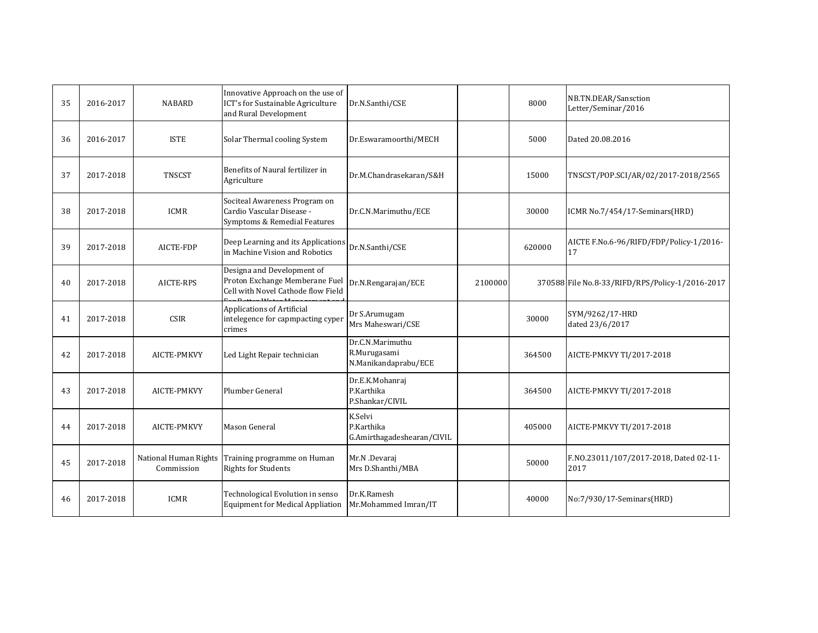| 35 | 2016-2017 | <b>NABARD</b>                       | Innovative Approach on the use of<br>ICT's for Sustainable Agriculture<br>and Rural Development    | Dr.N.Santhi/CSE                                          |         | 8000   | NB.TN.DEAR/Sansction<br>Letter/Seminar/2016     |
|----|-----------|-------------------------------------|----------------------------------------------------------------------------------------------------|----------------------------------------------------------|---------|--------|-------------------------------------------------|
| 36 | 2016-2017 | <b>ISTE</b>                         | Solar Thermal cooling System                                                                       | Dr.Eswaramoorthi/MECH                                    |         | 5000   | Dated 20.08.2016                                |
| 37 | 2017-2018 | <b>TNSCST</b>                       | Benefits of Naural fertilizer in<br>Agriculture                                                    | Dr.M.Chandrasekaran/S&H                                  |         | 15000  | TNSCST/POP.SCI/AR/02/2017-2018/2565             |
| 38 | 2017-2018 | <b>ICMR</b>                         | Sociteal Awareness Program on<br>Cardio Vascular Disease -<br>Symptoms & Remedial Features         | Dr.C.N.Marimuthu/ECE                                     |         | 30000  | ICMR No.7/454/17-Seminars(HRD)                  |
| 39 | 2017-2018 | AICTE-FDP                           | Deep Learning and its Applications<br>in Machine Vision and Robotics                               | Dr.N.Santhi/CSE                                          |         | 620000 | AICTE F.No.6-96/RIFD/FDP/Policy-1/2016-<br>17   |
| 40 | 2017-2018 | AICTE-RPS                           | Designa and Development of<br>Proton Exchange Memberane Fuel<br>Cell with Novel Cathode flow Field | Dr.N.Rengarajan/ECE                                      | 2100000 |        | 370588 File No.8-33/RIFD/RPS/Policy-1/2016-2017 |
| 41 | 2017-2018 | <b>CSIR</b>                         | Applications of Artificial<br>intelegence for capmpacting cyper<br>crimes                          | Dr S.Arumugam<br>Mrs Maheswari/CSE                       |         | 30000  | SYM/9262/17-HRD<br>dated 23/6/2017              |
| 42 | 2017-2018 | AICTE-PMKVY                         | Led Light Repair technician                                                                        | Dr.C.N.Marimuthu<br>R.Murugasami<br>N.Manikandaprabu/ECE |         | 364500 | AICTE-PMKVY TI/2017-2018                        |
| 43 | 2017-2018 | AICTE-PMKVY                         | Plumber General                                                                                    | Dr.E.K.Mohanraj<br>P.Karthika<br>P.Shankar/CIVIL         |         | 364500 | AICTE-PMKVY TI/2017-2018                        |
| 44 | 2017-2018 | AICTE-PMKVY                         | Mason General                                                                                      | K.Selvi<br>P.Karthika<br>G.Amirthagadeshearan/CIVIL      |         | 405000 | AICTE-PMKVY TI/2017-2018                        |
| 45 | 2017-2018 | National Human Rights<br>Commission | Training programme on Human<br><b>Rights for Students</b>                                          | Mr.N .Devaraj<br>Mrs D.Shanthi/MBA                       |         | 50000  | F.NO.23011/107/2017-2018, Dated 02-11-<br>2017  |
| 46 | 2017-2018 | <b>ICMR</b>                         | Technological Evolution in senso<br><b>Equipment for Medical Appliation</b>                        | Dr.K.Ramesh<br>Mr.Mohammed Imran/IT                      |         | 40000  | No:7/930/17-Seminars(HRD)                       |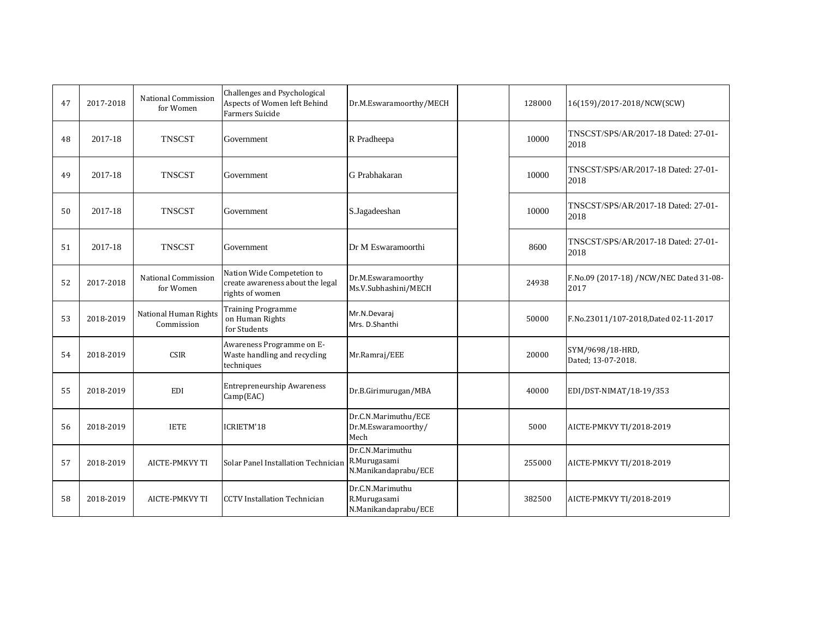| 47 | 2017-2018 | <b>National Commission</b><br>for Women | Challenges and Psychological<br>Aspects of Women left Behind<br>Farmers Suicide   | Dr.M.Eswaramoorthy/MECH                                  | 128000 | 16(159)/2017-2018/NCW(SCW)                      |
|----|-----------|-----------------------------------------|-----------------------------------------------------------------------------------|----------------------------------------------------------|--------|-------------------------------------------------|
| 48 | 2017-18   | <b>TNSCST</b>                           | Government                                                                        | R Pradheepa                                              | 10000  | TNSCST/SPS/AR/2017-18 Dated: 27-01-<br>2018     |
| 49 | 2017-18   | <b>TNSCST</b>                           | Government                                                                        | G Prabhakaran                                            | 10000  | TNSCST/SPS/AR/2017-18 Dated: 27-01-<br>2018     |
| 50 | 2017-18   | <b>TNSCST</b>                           | Government                                                                        | S.Jagadeeshan                                            | 10000  | TNSCST/SPS/AR/2017-18 Dated: 27-01-<br>2018     |
| 51 | 2017-18   | <b>TNSCST</b>                           | Government                                                                        | Dr M Eswaramoorthi                                       | 8600   | TNSCST/SPS/AR/2017-18 Dated: 27-01-<br>2018     |
| 52 | 2017-2018 | National Commission<br>for Women        | Nation Wide Competetion to<br>create awareness about the legal<br>rights of women | Dr.M.Eswaramoorthy<br>Ms.V.Subhashini/MECH               | 24938  | F.No.09 (2017-18) /NCW/NEC Dated 31-08-<br>2017 |
| 53 | 2018-2019 | National Human Rights<br>Commission     | <b>Training Programme</b><br>on Human Rights<br>for Students                      | Mr.N.Devaraj<br>Mrs. D.Shanthi                           | 50000  | F.No.23011/107-2018, Dated 02-11-2017           |
| 54 | 2018-2019 | <b>CSIR</b>                             | Awareness Programme on E-<br>Waste handling and recycling<br>techniques           | Mr.Ramraj/EEE                                            | 20000  | SYM/9698/18-HRD,<br>Dated; 13-07-2018.          |
| 55 | 2018-2019 | <b>EDI</b>                              | <b>Entrepreneurship Awareness</b><br>Camp(EAC)                                    | Dr.B.Girimurugan/MBA                                     | 40000  | EDI/DST-NIMAT/18-19/353                         |
| 56 | 2018-2019 | <b>IETE</b>                             | ICRIETM'18                                                                        | Dr.C.N.Marimuthu/ECE<br>Dr.M.Eswaramoorthy/<br>Mech      | 5000   | AICTE-PMKVY TI/2018-2019                        |
| 57 | 2018-2019 | <b>AICTE-PMKVY TI</b>                   | Solar Panel Installation Technician                                               | Dr.C.N.Marimuthu<br>R.Murugasami<br>N.Manikandaprabu/ECE | 255000 | AICTE-PMKVY TI/2018-2019                        |
| 58 | 2018-2019 | AICTE-PMKVY TI                          | <b>CCTV</b> Installation Technician                                               | Dr.C.N.Marimuthu<br>R.Murugasami<br>N.Manikandaprabu/ECE | 382500 | AICTE-PMKVY TI/2018-2019                        |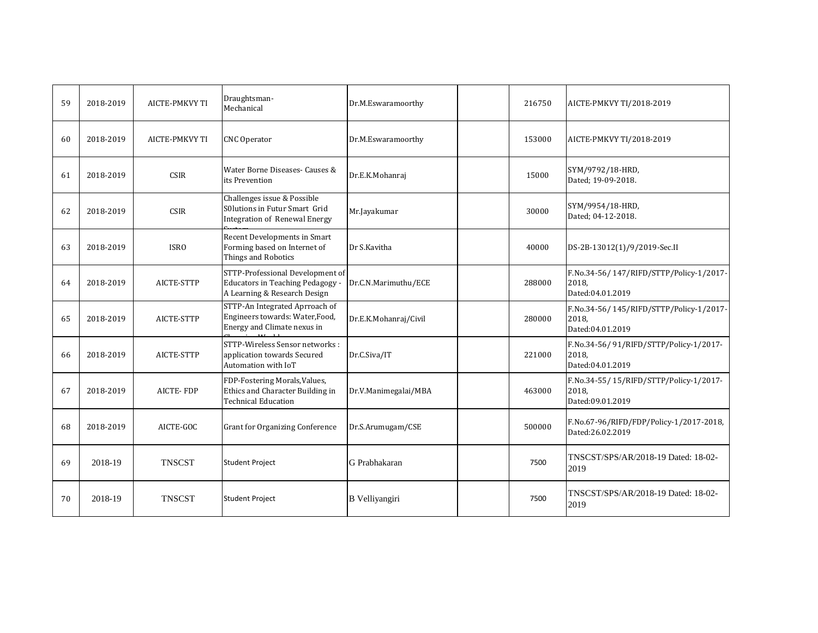| 59 | 2018-2019 | <b>AICTE-PMKVY TI</b> | Draughtsman-<br>Mechanical                                                                           | Dr.M.Eswaramoorthy    | 216750 | AICTE-PMKVY TI/2018-2019                                             |
|----|-----------|-----------------------|------------------------------------------------------------------------------------------------------|-----------------------|--------|----------------------------------------------------------------------|
| 60 | 2018-2019 | AICTE-PMKVY TI        | <b>CNC</b> Operator                                                                                  | Dr.M.Eswaramoorthy    | 153000 | AICTE-PMKVY TI/2018-2019                                             |
| 61 | 2018-2019 | <b>CSIR</b>           | Water Borne Diseases- Causes &<br>its Prevention                                                     | Dr.E.K.Mohanraj       | 15000  | SYM/9792/18-HRD,<br>Dated; 19-09-2018.                               |
| 62 | 2018-2019 | <b>CSIR</b>           | Challenges issue & Possible<br>S0lutions in Futur Smart Grid<br>Integration of Renewal Energy        | Mr.Jayakumar          | 30000  | SYM/9954/18-HRD,<br>Dated; 04-12-2018.                               |
| 63 | 2018-2019 | <b>ISRO</b>           | Recent Developments in Smart<br>Forming based on Internet of<br>Things and Robotics                  | Dr S.Kavitha          | 40000  | DS-2B-13012(1)/9/2019-Sec.II                                         |
| 64 | 2018-2019 | AICTE-STTP            | STTP-Professional Development of<br>Educators in Teaching Pedagogy -<br>A Learning & Research Design | Dr.C.N.Marimuthu/ECE  | 288000 | F.No.34-56/147/RIFD/STTP/Policy-1/2017-<br>2018.<br>Dated:04.01.2019 |
| 65 | 2018-2019 | AICTE-STTP            | STTP-An Integrated Aprroach of<br>Engineers towards: Water, Food,<br>Energy and Climate nexus in     | Dr.E.K.Mohanraj/Civil | 280000 | F.No.34-56/145/RIFD/STTP/Policy-1/2017-<br>2018.<br>Dated:04.01.2019 |
| 66 | 2018-2019 | AICTE-STTP            | STTP-Wireless Sensor networks:<br>application towards Secured<br>Automation with IoT                 | Dr.C.Siva/IT          | 221000 | F.No.34-56/91/RIFD/STTP/Policy-1/2017-<br>2018.<br>Dated:04.01.2019  |
| 67 | 2018-2019 | <b>AICTE-FDP</b>      | FDP-Fostering Morals, Values,<br>Ethics and Character Building in<br><b>Technical Education</b>      | Dr.V.Manimegalai/MBA  | 463000 | F.No.34-55/15/RIFD/STTP/Policy-1/2017-<br>2018.<br>Dated:09.01.2019  |
| 68 | 2018-2019 | AICTE-GOC             | <b>Grant for Organizing Conference</b>                                                               | Dr.S.Arumugam/CSE     | 500000 | F.No.67-96/RIFD/FDP/Policy-1/2017-2018,<br>Dated:26.02.2019          |
| 69 | 2018-19   | <b>TNSCST</b>         | <b>Student Project</b>                                                                               | G Prabhakaran         | 7500   | TNSCST/SPS/AR/2018-19 Dated: 18-02-<br>2019                          |
| 70 | 2018-19   | <b>TNSCST</b>         | <b>Student Project</b>                                                                               | B Velliyangiri        | 7500   | TNSCST/SPS/AR/2018-19 Dated: 18-02-<br>2019                          |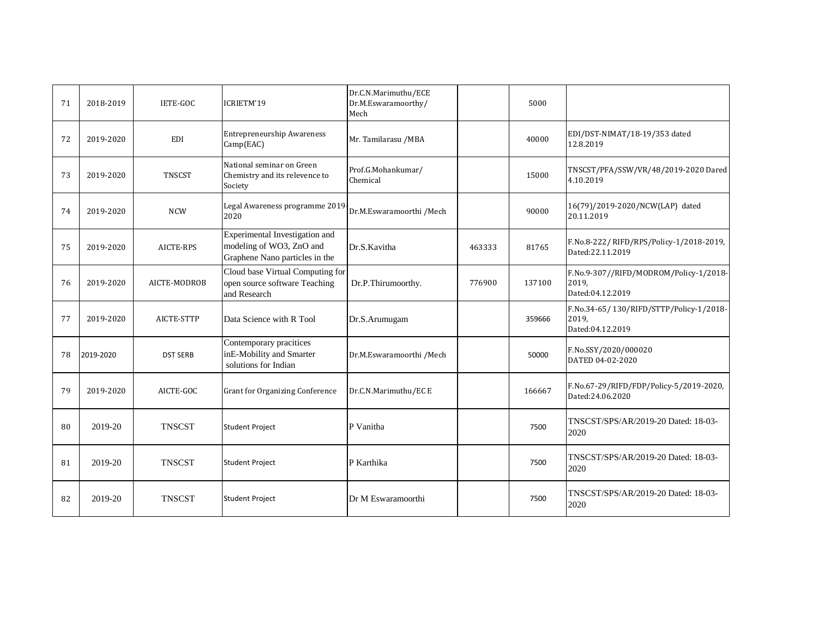| 71 | 2018-2019 | <b>IETE-GOC</b> | ICRIETM'19                                                                                   | Dr.C.N.Marimuthu/ECE<br>Dr.M.Eswaramoorthy/<br>Mech |        | 5000   |                                                                      |
|----|-----------|-----------------|----------------------------------------------------------------------------------------------|-----------------------------------------------------|--------|--------|----------------------------------------------------------------------|
| 72 | 2019-2020 | EDI             | <b>Entrepreneurship Awareness</b><br>Camp(EAC)                                               | Mr. Tamilarasu /MBA                                 |        | 40000  | EDI/DST-NIMAT/18-19/353 dated<br>12.8.2019                           |
| 73 | 2019-2020 | <b>TNSCST</b>   | National seminar on Green<br>Chemistry and its relevence to<br>Society                       | Prof.G.Mohankumar/<br>Chemical                      |        | 15000  | TNSCST/PFA/SSW/VR/48/2019-2020 Dared<br>4.10.2019                    |
| 74 | 2019-2020 | <b>NCW</b>      | Legal Awareness programme 2019<br>2020                                                       | Dr.M.Eswaramoorthi /Mech                            |        | 90000  | 16(79)/2019-2020/NCW(LAP) dated<br>20.11.2019                        |
| 75 | 2019-2020 | AICTE-RPS       | Experimental Investigation and<br>modeling of WO3, ZnO and<br>Graphene Nano particles in the | Dr.S.Kavitha                                        | 463333 | 81765  | F.No.8-222/RIFD/RPS/Policy-1/2018-2019,<br>Dated:22.11.2019          |
| 76 | 2019-2020 | AICTE-MODROB    | Cloud base Virtual Computing for<br>open source software Teaching<br>and Research            | Dr.P.Thirumoorthy.                                  | 776900 | 137100 | F.No.9-307//RIFD/MODROM/Policy-1/2018-<br>2019.<br>Dated:04.12.2019  |
| 77 | 2019-2020 | AICTE-STTP      | Data Science with R Tool                                                                     | Dr.S.Arumugam                                       |        | 359666 | F.No.34-65/130/RIFD/STTP/Policy-1/2018-<br>2019,<br>Dated:04.12.2019 |
| 78 | 2019-2020 | <b>DST SERB</b> | Contemporary pracitices<br>inE-Mobility and Smarter<br>solutions for Indian                  | Dr.M.Eswaramoorthi /Mech                            |        | 50000  | F.No.SSY/2020/000020<br>DATED 04-02-2020                             |
| 79 | 2019-2020 | AICTE-GOC       | <b>Grant for Organizing Conference</b>                                                       | Dr.C.N.Marimuthu/EC E                               |        | 166667 | F.No.67-29/RIFD/FDP/Policy-5/2019-2020,<br>Dated:24.06.2020          |
| 80 | 2019-20   | <b>TNSCST</b>   | <b>Student Project</b>                                                                       | P Vanitha                                           |        | 7500   | TNSCST/SPS/AR/2019-20 Dated: 18-03-<br>2020                          |
| 81 | 2019-20   | <b>TNSCST</b>   | <b>Student Project</b>                                                                       | P Karthika                                          |        | 7500   | TNSCST/SPS/AR/2019-20 Dated: 18-03-<br>2020                          |
| 82 | 2019-20   | <b>TNSCST</b>   | <b>Student Project</b>                                                                       | Dr M Eswaramoorthi                                  |        | 7500   | TNSCST/SPS/AR/2019-20 Dated: 18-03-<br>2020                          |